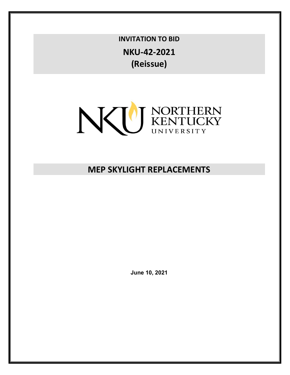**INVITATION TO BID NKU-42-2021 (Reissue)**



# **MEP SKYLIGHT REPLACEMENTS**

**June 10, 2021**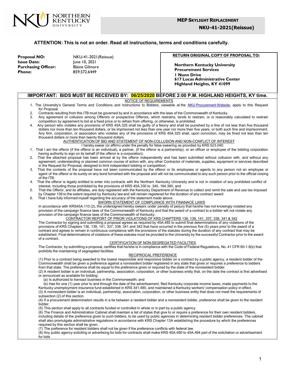

**NKU-41-2021(Reissue)**

#### **ATTENTION: This is not an order. Read all instructions, terms and conditions carefully.**

**Proposal NO:** NKU-41-2021(Reissue) **Issue Date:** June 10, 2021<br> **Purchasing Officer:** Blaine Gilmore **Purchasing Officer: Phone:** 859.572.6449

**RETURN ORIGINAL COPY OF PROPOSAL TO:**

**Northern Kentucky University Procurement Services 1 Nunn Drive 617 Lucas Administrative Center Highland Heights, KY 41099**

#### **IMPORTANT: BIDS MUST BE RECEIVED BY: 06/25/2020 BEFORE 2:00 P.M. HIGHLAND HEIGHTS, KY time.**

NOTICE OF REQUIREMENTS

- 1. The University's General Terms and Conditions and Instructions to Bidders, viewable at the NKU [Procurement](https://inside.nku.edu/procurement/policies/terms-and-conditions.html) Website, apply to this Request for Proposal.
- 2. Contracts resulting from this ITB must be governed by and in accordance with the laws of the Commonwealth of Kentucky.<br>3. Any agreement or collusion among Offerors or prospective Offerors, which restrains, tends to rest
- Any agreement or collusion among Offerors or prospective Offerors, which restrains, tends to restrain, or is reasonably calculated to restrain competition by agreement to bid at a fixed price or to refrain from offering, or otherwise, is prohibited.
- 4. Any person who violates any provisions of KRS 45A.325 shall be guilty of a felony and shall be punished by a fine of not less than five thousand dollars nor more than ten thousand dollars, or be imprisoned not less than one year nor more than five years, or both such fine and imprisonment. Any firm, corporation, or association who violates any of the provisions of KRS 45A.325 shall, upon conviction, may be fined not less than ten thousand dollars or more than twenty thousand dollars.

AUTHENTICATION OF BID AND STATEMENT OF NON-COLLUSION AND NON-CONFLICT OF INTEREST

- I hereby swear (or affirm) under the penalty for false swearing as provided by KRS 523.040:
- 1. That I am the offeror (if the offeror is an individual), a partner, (if the offeror is a partnership), or an officer or employee of the bidding corporation having authority to sign on its behalf (if the offeror is a corporation);
- 2. That the attached proposal has been arrived at by the offeror independently and has been submitted without collusion with, and without any agreement, understanding or planned common course of action with, any other Contractor of materials, supplies, equipment or services described in the Request for Proposal, designed to limit independent bidding or competition;
- 3. That the contents of the proposal have not been communicated by the offeror or its employees or agents to any person not an employee or agent of the offeror or its surety on any bond furnished with the proposal and will not be communicated to any such person prior to the official closing of the ITB:
- 4. That the offeror is legally entitled to enter into contracts with the Northern Kentucky University and is not in violation of any prohibited conflict of interest, including those prohibited by the provisions of KRS 45A.330 to .340, 164.390, and
- 5. That the Offeror, and its affiliates, are duly registered with the Kentucky Department of Revenue to collect and remit the sale and use tax imposed by Chapter 139 to the extent required by Kentucky law and will remain registered for the duration of any contract award
- 6. That I have fully informed myself regarding the accuracy of the statement made above.

#### SWORN STATEMENT OF COMPLIANCE WITH FINANACE LAWS

In accordance with KRS45A.110 (2), the undersigned hereby swears under penalty of perjury that he/she has not knowingly violated any provision of the campaign finance laws of the Commonwealth of Kentucky and that the award of a contract to a bidder will not violate any provision of the campaign finance laws of the Commonwealth of Kentucky.

#### CONTRACTOR REPORT OF PRIOR VIOLATIONS OF KRS CHAPTERS 136, 139, 141, 337, 338, 341 & 342

The Contractor by signing and submitting a proposal agrees as required by 45A.485 to submit final determinations of any violations of the provisions of KRS Chapters 136, 139, 141, 337, 338, 341 and 342 that have occurred in the previous five (5) years prior to the award of a contract and agrees to remain in continuous compliance with the provisions of the statutes during the duration of any contract that may be established. Final determinations of violations of these statutes must be provided to the University by the successful Contractor prior to the award of a contract.

#### CERTIFICATION OF NON-SEGREGATED FACILITIES

The Contractor, by submitting a proposal, certifies that he/she is in compliance with the Code of Federal Regulations, No. 41 CFR 60-1.8(b) that prohibits the maintaining of segregated facilities.

#### RECIPROCAL PREFERENCE

(1) Prior to a contract being awarded to the lowest responsible and responsive bidder on a contract by a public agency, a resident bidder of the Commonwealth shall be given a preference against a nonresident bidder registered in any state that gives or requires a preference to bidders from that state. The preference shall be equal to the preference given or required by the state of the nonresident bidder.

(2) A resident bidder is an individual, partnership, association, corporation, or other business entity that, on the date the contract is first advertised or announced as available for bidding:

(a) Is authorized to transact business in the Commonwealth; and

(b) Has for one (1) year prior to and through the date of the advertisement, filed Kentucky corporate income taxes, made payments to the Kentucky unemployment insurance fund established in KRS 341.490, and maintained a Kentucky workers' compensation policy in effect. (3) A nonresident bidder is an individual, partnership, association, corporation, or other business entity that does not meet the requirements of subsection (2) of this section.

(4) If a procurement determination results in a tie between a resident bidder and a nonresident bidder, preference shall be given to the resident bidder.

(5) This section shall apply to all contracts funded or controlled in whole or in part by a public agency.

(6) The Finance and Administration Cabinet shall maintain a list of states that give to or require a preference for their own resident bidders, including details of the preference given to such bidders, to be used by public agencies in determining resident bidder preferences. The cabinet shall also promulgate administrative regulations in accordance with KRS Chapter 13A establishing the procedure by which the preferences required by this section shall be given.

(7) The preference for resident bidders shall not be given if the preference conflicts with federal law.

(8) Any public agency soliciting or advertising for bids for contracts shall make KRS 45A.490 to 45A.494 part of the solicitation or advertisement for bids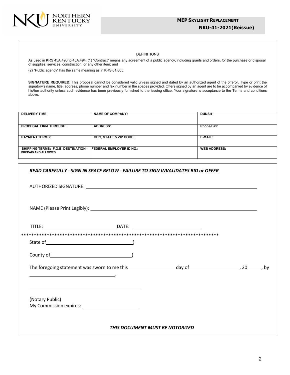

#### **NKU-41-2021(Reissue)**

#### **DEFINITIONS**

As used in KRS 45A.490 to 45A.494: (1) "Contract" means any agreement of a public agency, including grants and orders, for the purchase or disposal of supplies, services, construction, or any other item; and

(2) "Public agency" has the same meaning as in KRS 61.805.

**SIGNATURE REQUIRED:** This proposal cannot be considered valid unless signed and dated by an authorized agent of the offeror. Type or print the signatory's name, title, address, phone number and fax number in the spaces provided. Offers signed by an agent are to be accompanied by evidence of his/her authority unless such evidence has been previously furnished to the issuing office. Your signature is acceptance to the Terms and conditions above.

| <b>DELIVERY TIME:</b>                       | <b>NAME OF COMPANY:</b>          | <b>DUNS#</b>        |
|---------------------------------------------|----------------------------------|---------------------|
|                                             |                                  |                     |
| <b>PROPOSAL FIRM THROUGH:</b>               | <b>ADDRESS:</b>                  | Phone/Fax:          |
|                                             |                                  |                     |
| <b>PAYMENT TERMS:</b>                       | CITY, STATE & ZIP CODE:          | E-MAIL:             |
|                                             |                                  |                     |
|                                             |                                  |                     |
| <b>SHIPPING TERMS: F.O.B. DESTINATION -</b> | <b>IFEDERAL EMPLOYER ID NO.:</b> | <b>WEB ADDRESS:</b> |
| PREPAID AND ALLOWED                         |                                  |                     |
|                                             |                                  |                     |

#### *READ CAREFULLY - SIGN IN SPACE BELOW - FAILURE TO SIGN INVALIDATES BID or OFFER*

| County of Physical County of Physical County of    |                                 |  |  |
|----------------------------------------------------|---------------------------------|--|--|
|                                                    |                                 |  |  |
|                                                    |                                 |  |  |
| (Notary Public)                                    |                                 |  |  |
| My Commission expires: 1997 My Commission expires: |                                 |  |  |
|                                                    |                                 |  |  |
|                                                    | THIS DOCUMENT MUST BE NOTORIZED |  |  |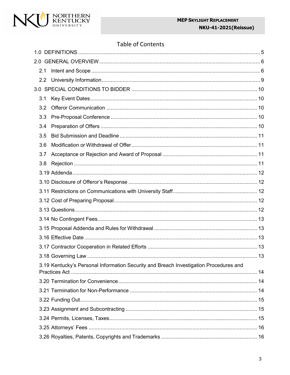# **Table of Contents**

| 2.1 |                                                                                       |  |
|-----|---------------------------------------------------------------------------------------|--|
|     |                                                                                       |  |
|     |                                                                                       |  |
| 3.1 |                                                                                       |  |
| 3.2 |                                                                                       |  |
| 3.3 |                                                                                       |  |
| 3.4 |                                                                                       |  |
| 3.5 |                                                                                       |  |
| 3.6 |                                                                                       |  |
| 3.7 |                                                                                       |  |
| 3.8 |                                                                                       |  |
|     |                                                                                       |  |
|     |                                                                                       |  |
|     |                                                                                       |  |
|     |                                                                                       |  |
|     |                                                                                       |  |
|     |                                                                                       |  |
|     |                                                                                       |  |
|     |                                                                                       |  |
|     |                                                                                       |  |
|     |                                                                                       |  |
|     | 3.19 Kentucky's Personal Information Security and Breach Investigation Procedures and |  |
|     |                                                                                       |  |
|     |                                                                                       |  |
|     |                                                                                       |  |
|     |                                                                                       |  |
|     |                                                                                       |  |
|     |                                                                                       |  |
|     |                                                                                       |  |
|     |                                                                                       |  |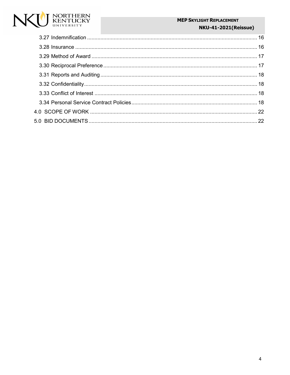# NORTHERN<br>KENTUCKY<br><sub>UNIVERSITY</sub> N

# **MEP SKYLIGHT REPLACEMENT**

# **NKU-41-2021(Reissue)**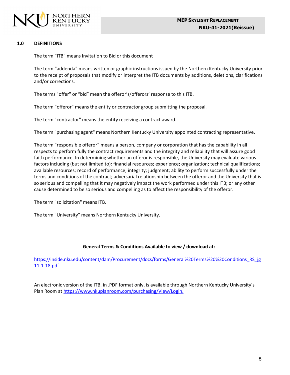

# <span id="page-5-0"></span>**1.0 DEFINITIONS**

The term "ITB" means Invitation to Bid or this document

The term "addenda" means written or graphic instructions issued by the Northern Kentucky University prior to the receipt of proposals that modify or interpret the ITB documents by additions, deletions, clarifications and/or corrections.

The terms "offer" or "bid" mean the offeror's/offerors' response to this ITB.

The term "offeror" means the entity or contractor group submitting the proposal.

The term "contractor" means the entity receiving a contract award.

The term "purchasing agent" means Northern Kentucky University appointed contracting representative.

The term "responsible offeror" means a person, company or corporation that has the capability in all respects to perform fully the contract requirements and the integrity and reliability that will assure good faith performance. In determining whether an offeror is responsible, the University may evaluate various factors including (but not limited to): financial resources; experience; organization; technical qualifications; available resources; record of performance; integrity; judgment; ability to perform successfully under the terms and conditions of the contract; adversarial relationship between the offeror and the University that is so serious and compelling that it may negatively impact the work performed under this ITB; or any other cause determined to be so serious and compelling as to affect the responsibility of the offeror.

The term "solicitation" means ITB.

The term "University" means Northern Kentucky University.

# **General Terms & Conditions Available to view / download at:**

[https://inside.nku.edu/content/dam/Procurement/docs/forms/General%20Terms%20%20Conditions\\_RS\\_jg](https://inside.nku.edu/content/dam/Procurement/docs/forms/General%20Terms%20%20Conditions_RS_jg11-1-18.pdf) [11-1-18.pdf](https://inside.nku.edu/content/dam/Procurement/docs/forms/General%20Terms%20%20Conditions_RS_jg11-1-18.pdf)

An electronic version of the ITB, in .PDF format only, is available through Northern Kentucky University's Plan Room at https:/[/www.nkuplanroom.com/purchasing/View/Login.](http://www.nkuplanroom.com/purchasing/View/Login)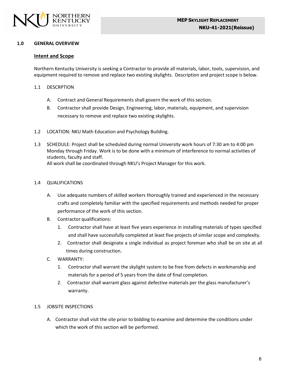

## <span id="page-6-0"></span>**1.0 GENERAL OVERVIEW**

# <span id="page-6-1"></span>**Intent and Scope**

Northern Kentucky University is seeking a Contractor to provide all materials, labor, tools, supervision, and equipment required to remove and replace two existing skylights. Description and project scope is below.

## 1.1 DESCRPTION

- A. Contract and General Requirements shall govern the work of this section.
- B. Contractor shall provide Design, Engineering, labor, materials, equipment, and supervision necessary to remove and replace two existing skylights.
- 1.2 LOCATION: NKU Math Education and Psychology Building.
- 1.3 SCHEDULE: Project shall be scheduled during normal University work hours of 7:30 am to 4:00 pm Monday through Friday. Work is to be done with a minimum of interference to normal activities of students, faculty and staff. All work shall be coordinated through NKU's Project Manager for this work.

#### 1.4 QUALIFICATIONS

- A. Use adequate numbers of skilled workers thoroughly trained and experienced in the necessary crafts and completely familiar with the specified requirements and methods needed for proper performance of the work of this section.
- B. Contractor qualifications:
	- 1. Contractor shall have at least five years experience in installing materials of types specified and shall have successfully completed at least five projects of similar scope and complexity.
	- 2. Contractor shall designate a single individual as project foreman who shall be on site at all times during construction.
- C. WARRANTY:
	- 1. Contractor shall warrant the skylight system to be free from defects in workmanship and materials for a period of 5 years from the date of final completion.
	- 2. Contractor shall warrant glass against defective materials per the glass manufacturer's warranty.

# 1.5 JOBSITE INSPECTIONS

A. Contractor shall visit the site prior to bidding to examine and determine the conditions under which the work of this section will be performed.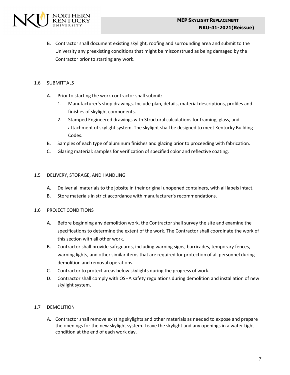

B. Contractor shall document existing skylight, roofing and surrounding area and submit to the University any preexisting conditions that might be misconstrued as being damaged by the Contractor prior to starting any work.

# 1.6 SUBMITTALS

- A. Prior to starting the work contractor shall submit:
	- 1. Manufacturer's shop drawings. Include plan, details, material descriptions, profiles and finishes of skylight components.
	- 2. Stamped Engineered drawings with Structural calculations for framing, glass, and attachment of skylight system. The skylight shall be designed to meet Kentucky Building Codes.
- B. Samples of each type of aluminum finishes and glazing prior to proceeding with fabrication.
- C. Glazing material: samples for verification of specified color and reflective coating.

# 1.5 DELIVERY, STORAGE, AND HANDLING

- A. Deliver all materials to the jobsite in their original unopened containers, with all labels intact.
- B. Store materials in strict accordance with manufacturer's recommendations.

# 1.6 PROJECT CONDITIONS

- A. Before beginning any demolition work, the Contractor shall survey the site and examine the specifications to determine the extent of the work. The Contractor shall coordinate the work of this section with all other work.
- B. Contractor shall provide safeguards, including warning signs, barricades, temporary fences, warning lights, and other similar items that are required for protection of all personnel during demolition and removal operations.
- C. Contractor to protect areas below skylights during the progress of work.
- D. Contractor shall comply with OSHA safety regulations during demolition and installation of new skylight system.

# 1.7 DEMOLITION

A. Contractor shall remove existing skylights and other materials as needed to expose and prepare the openings for the new skylight system. Leave the skylight and any openings in a water tight condition at the end of each work day.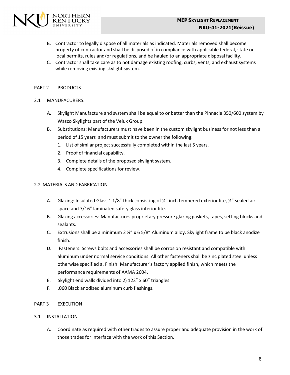

- B. Contractor to legally dispose of all materials as indicated. Materials removed shall become property of contractor and shall be disposed of in compliance with applicable federal, state or local permits, rules and/or regulations, and be hauled to an appropriate disposal facility.
- C. Contractor shall take care as to not damage existing roofing, curbs, vents, and exhaust systems while removing existing skylight system.

# PART 2 PRODUCTS

# 2.1 MANUFACURERS:

- A. Skylight Manufacture and system shall be equal to or better than the Pinnacle 350/600 system by Wasco Skylights part of the Velux Group.
- B. Substitutions: Manufacturers must have been in the custom skylight business for not less than a period of 15 years and must submit to the owner the following:
	- 1. List of similar project successfully completed within the last 5 years.
	- 2. Proof of financial capability.
	- 3. Complete details of the proposed skylight system.
	- 4. Complete specifications for review.

# 2.2 MATERIALS AND FABRICATION

- A. Glazing: Insulated Glass 1 1/8" thick consisting of ¼" inch tempered exterior lite, ½" sealed air space and 7/16" laminated safety glass interior lite.
- B. Glazing accessories: Manufactures proprietary pressure glazing gaskets, tapes, setting blocks and sealants.
- C. Extrusions shall be a minimum  $2 \frac{1}{2}$  x 6 5/8" Aluminum alloy. Skylight frame to be black anodize finish.
- D. Fasteners: Screws bolts and accessories shall be corrosion resistant and compatible with aluminum under normal service conditions. All other fasteners shall be zinc plated steel unless otherwise specified a. Finish: Manufacturer's factory applied finish, which meets the performance requirements of AAMA 2604.
- E. Skylight end walls divided into 2) 123" x 60" triangles.
- F. .060 Black anodized aluminum curb flashings.
- PART 3 EXECUTION

# 3.1 INSTALLATION

A. Coordinate as required with other trades to assure proper and adequate provision in the work of those trades for interface with the work of this Section.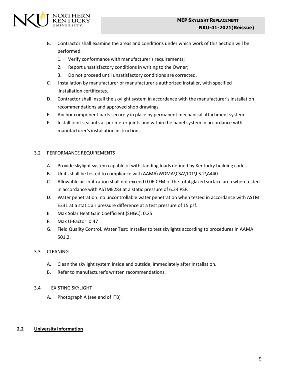

- B. Contractor shall examine the areas and conditions under which work of this Section will be performed.
	- 1. Verify conformance with manufacturer's requirements;
	- 2. Report unsatisfactory conditions in writing to the Owner;
	- 3. Do not proceed until unsatisfactory conditions are corrected.
- C. Installation by manufacturer or manufacturer's authorized installer, with specified Installation certificates.
- D. Contractor shall install the skylight system in accordance with the manufacturer's installation recommendations and approved shop drawings.
- E. Anchor component parts securely in place by permanent mechanical attachment system.
- F. Install joint sealants at perimeter joints and within the panel system in accordance with manufacturer's installation instructions.

# 3.2 PERFORMANCE REQUIREMENTS

- A. Provide skylight system capable of withstanding loads defined by Kentucky building codes.
- B. Units shall be tested to compliance with AAMA\WDMA\CSA\101\I.S.2\A440.
- C. Allowable air infiltration shall not exceed 0.06 CFM of the total glazed surface area when tested in accordance with ASTME283 at a static pressure of 6.24 PSF.
- D. Water penetration: no uncontrollable water penetration when tested in accordance with ASTM E331 at a static air pressure difference at a test pressure of 15 psf.
- E. Max Solar Heat Gain Coefficient (SHGC): 0.25
- F. Max U-Factor: 0.47
- G. Field Quality Control. Water Test: Installer to test skylights according to procedures in AAMA 501.2.

# 3.3 CLEANING

- A. Clean the skylight system inside and outside, immediately after installation.
- B. Refer to manufacturer's written recommendations.
- 3.4 EXISTING SKYLIGHT
	- A. Photograph A (see end of ITB)

# <span id="page-9-0"></span>**2.2 University Information**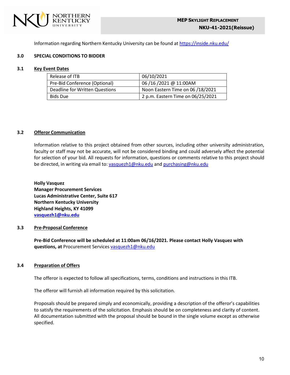

Information regarding Northern Kentucky University can be found at <https://inside.nku.edu/>

# <span id="page-10-0"></span>**3.0 SPECIAL CONDITIONS TO BIDDER**

#### <span id="page-10-1"></span>**3.1 Key Event Dates**

| Release of ITB                 | 06/10/2021                        |
|--------------------------------|-----------------------------------|
| Pre-Bid Conference (Optional)  | 06/16/2021@11:00AM                |
| Deadline for Written Questions | Noon Eastern Time on 06 /18/2021  |
| <b>Bids Due</b>                | 2 p.m. Eastern Time on 06/25/2021 |

#### <span id="page-10-2"></span>**3.2 Offeror Communication**

Information relative to this project obtained from other sources, including other university administration, faculty or staff may not be accurate, will not be considered binding and could adversely affect the potential for selection of your bid. All requests for information, questions or comments relative to this project should be directed, in writing via email to: [vasquezh1@nku.edu](mailto:vasquezh1@nku.edu) and [purchasing@nku.edu](mailto:purchasing@nku.edu)

**Holly Vasquez Manager Procurement Services Lucas Administrative Center, Suite 617 Northern Kentucky University Highland Heights, KY 41099 [vasquezh1@nku.edu](mailto:vasquezh1@nku.edu)**

#### <span id="page-10-3"></span>**3.3 Pre-Proposal Conference**

**Pre-Bid Conference will be scheduled at 11:00am 06/16/2021. Please contact Holly Vasquez with questions, at** Procurement Services [vasquezh1@nku.edu](mailto:vasquezh1@nku.edu)

#### <span id="page-10-4"></span>**3.4 Preparation of Offers**

The offeror is expected to follow all specifications, terms, conditions and instructions in this ITB.

The offeror will furnish all information required by this solicitation.

Proposals should be prepared simply and economically, providing a description of the offeror's capabilities to satisfy the requirements of the solicitation. Emphasis should be on completeness and clarity of content. All documentation submitted with the proposal should be bound in the single volume except as otherwise specified.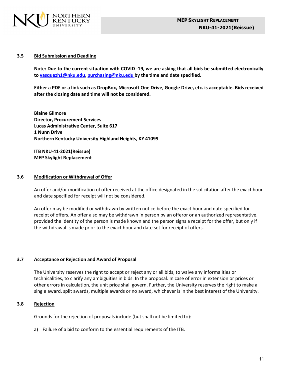

#### <span id="page-11-0"></span>**3.5 Bid Submission and Deadline**

Note: Due to the current situation with COVID -19, we are asking that all bids be submitted electronically **to [vasquezh1@nku.edu,](mailto:vasquezh1@nku.edu) [purchasing@nku.edu](mailto:purchasing@nku.edu) by the time and date specified.**

**Either a PDF or a link such as DropBox, Microsoft One Drive, Google Drive, etc. is acceptable. Bids received after the closing date and time will not be considered.**

**Blaine Gilmore Director, Procurement Services Lucas Administrative Center, Suite 617 1 Nunn Drive Northern Kentucky University Highland Heights, KY 41099**

**ITB NKU-41-2021(Reissue) MEP Skylight Replacement**

#### <span id="page-11-1"></span>**3.6 Modification or Withdrawal of Offer**

An offer and/or modification of offer received at the office designated in the solicitation after the exact hour and date specified for receipt will not be considered.

An offer may be modified or withdrawn by written notice before the exact hour and date specified for receipt of offers. An offer also may be withdrawn in person by an offeror or an authorized representative, provided the identity of the person is made known and the person signs a receipt for the offer, but only if the withdrawal is made prior to the exact hour and date set for receipt of offers.

# <span id="page-11-2"></span>**3.7 Acceptance or Rejection and Award of Proposal**

The University reserves the right to accept or reject any or all bids, to waive any informalities or technicalities, to clarify any ambiguities in bids. In the proposal. In case of error in extension or prices or other errors in calculation, the unit price shall govern. Further, the University reserves the right to make a single award, split awards, multiple awards or no award, whichever is in the best interest of the University.

# <span id="page-11-3"></span>**3.8 Rejection**

Grounds for the rejection of proposals include (but shall not be limited to):

a) Failure of a bid to conform to the essential requirements of the ITB.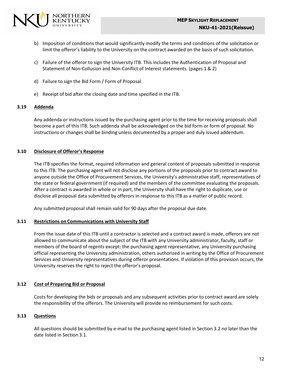

- b) Imposition of conditions that would significantly modify the terms and conditions of the solicitation or limit the offeror's liability to the University on the contract awarded on the basis of such solicitation.
- c) Failure of the offeror to sign the University ITB. This includes the Authentication of Proposal and Statement of Non-Collusion and Non-Conflict of Interest statements. (pages 1 & 2)
- d) Failure to sign the Bid Form / Form of Proposal
- e) Receipt of bid after the closing date and time specified in the ITB.

# <span id="page-12-0"></span>**3.19 Addenda**

Any addenda or instructions issued by the purchasing agent prior to the time for receiving proposals shall become a part of this ITB. Such addenda shall be acknowledged on the bid form or form of proposal. No instructions or changes shall be binding unless documented by a proper and duly issued addendum.

# <span id="page-12-1"></span>**3.10 Disclosure of Offeror's Response**

The ITB specifies the format, required information and general content of proposals submitted in response to this ITB. The purchasing agent will not disclose any portions of the proposals prior to contract award to anyone outside the Office of Procurement Services, the University's administrative staff, representatives of the state or federal government (if required) and the members of the committee evaluating the proposals. After a contract is awarded in whole or in part, the University shall have the right to duplicate, use or disclose all proposal data submitted by offerors in response to this ITB as a matter of public record.

Any submitted proposal shall remain valid for 90 days after the proposal due date.

#### <span id="page-12-2"></span>**3.11 Restrictions on Communications with University Staff**

From the issue date of this ITB until a contractor is selected and a contract award is made, offerors are not allowed to communicate about the subject of the ITB with any University administrator, faculty, staff or members of the board of regents except: the purchasing agent representative, any University purchasing official representing the University administration, others authorized in writing by the Office of Procurement Services and University representatives during offeror presentations. If violation of this provision occurs, the University reserves the right to reject the offeror's proposal.

# <span id="page-12-3"></span>**3.12 Cost of Preparing Bid or Proposal**

Costs for developing the bids or proposals and any subsequent activities prior to contract award are solely the responsibility of the offerors. The University will provide no reimbursement for such costs.

# <span id="page-12-4"></span>**3.13 Questions**

All questions should be submitted by e-mail to the purchasing agent listed in Section 3.2 no later than the date listed in Section 3.1.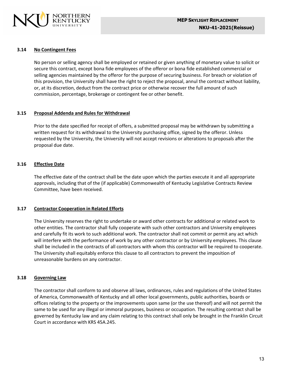

#### <span id="page-13-0"></span>**3.14 No Contingent Fees**

No person or selling agency shall be employed or retained or given anything of monetary value to solicit or secure this contract, except bona fide employees of the offeror or bona fide established commercial or selling agencies maintained by the offeror for the purpose of securing business. For breach or violation of this provision, the University shall have the right to reject the proposal, annul the contract without liability, or, at its discretion, deduct from the contract price or otherwise recover the full amount of such commission, percentage, brokerage or contingent fee or other benefit.

#### <span id="page-13-1"></span>**3.15 Proposal Addenda and Rules for Withdrawal**

Prior to the date specified for receipt of offers, a submitted proposal may be withdrawn by submitting a written request for its withdrawal to the University purchasing office, signed by the offeror. Unless requested by the University, the University will not accept revisions or alterations to proposals after the proposal due date.

# <span id="page-13-2"></span>**3.16 Effective Date**

The effective date of the contract shall be the date upon which the parties execute it and all appropriate approvals, including that of the (if applicable) Commonwealth of Kentucky Legislative Contracts Review Committee, have been received.

#### <span id="page-13-3"></span>**3.17 Contractor Cooperation in Related Efforts**

The University reserves the right to undertake or award other contracts for additional or related work to other entities. The contractor shall fully cooperate with such other contractors and University employees and carefully fit its work to such additional work. The contractor shall not commit or permit any act which will interfere with the performance of work by any other contractor or by University employees. This clause shall be included in the contracts of all contractors with whom this contractor will be required to cooperate. The University shall equitably enforce this clause to all contractors to prevent the imposition of unreasonable burdens on any contractor.

#### <span id="page-13-4"></span>**3.18 Governing Law**

The contractor shall conform to and observe all laws, ordinances, rules and regulations of the United States of America, Commonwealth of Kentucky and all other local governments, public authorities, boards or offices relating to the property or the improvements upon same (or the use thereof) and will not permit the same to be used for any illegal or immoral purposes, business or occupation. The resulting contract shall be governed by Kentucky law and any claim relating to this contract shall only be brought in the Franklin Circuit Court in accordance with KRS 45A.245.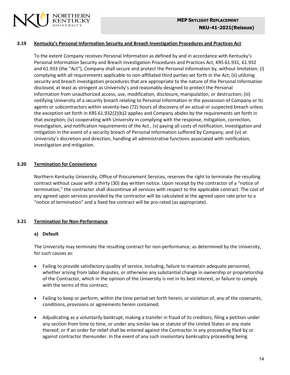

## <span id="page-14-0"></span>**3.19 Kentucky's Personal Information Security and Breach Investigation Procedures and Practices Act**

To the extent Company receives Personal Information as defined by and in accordance with Kentucky's Personal Information Security and Breach Investigation Procedures and Practices Act, KRS 61.931, 61.932 and 61.933 (the "Act"), Company shall secure and protect the Personal Information by, without limitation: (i) complying with all requirements applicable to non-affiliated third parties set forth in the Act; (ii) utilizing security and breach investigation procedures that are appropriate to the nature of the Personal Information disclosed, at least as stringent as University's and reasonably designed to protect the Personal Information from unauthorized access, use, modification, disclosure, manipulation, or destruction; (iii) notifying University of a security breach relating to Personal Information in the possession of Company or its agents or subcontractors within seventy-two (72) hours of discovery of an actual or suspected breach unless the exception set forth in KRS 61.932(2)(b)2 applies and Company abides by the requirements set forth in that exception; (iv) cooperating with University in complying with the response, mitigation, correction, investigation, and notification requirements of the Act , (v) paying all costs of notification, investigation and mitigation in the event of a security breach of Personal Information suffered by Company; and (vi) at University's discretion and direction, handling all administrative functions associated with notification, investigation and mitigation.

#### <span id="page-14-1"></span>**3.20 Termination for Convenience**

Northern Kentucky University, Office of Procurement Services, reserves the right to terminate the resulting contract without cause with a thirty (30) day written notice. Upon receipt by the contractor of a "notice of termination," the contractor shall discontinue all services with respect to the applicable contract. The cost of any agreed upon services provided by the contractor will be calculated at the agreed upon rate prior to a "notice of termination" and a fixed fee contract will be pro-rated (as appropriate).

# <span id="page-14-2"></span>**3.21 Termination for Non-Performance**

# **a) Default**

The University may terminate the resulting contract for non-performance, as determined by the University, for such causes as:

- Failing to provide satisfactory quality of service, including, failure to maintain adequate personnel, whether arising from labor disputes, or otherwise any substantial change in ownership or proprietorship of the Contractor, which in the opinion of the University is not in its best interest, or failure to comply with the terms of this contract;
- Failing to keep or perform, within the time period set forth herein, or violation of, any of the covenants, conditions, provisions or agreements herein contained;
- Adjudicating as a voluntarily bankrupt, making a transfer in fraud of its creditors, filing a petition under any section from time to time, or under any similar law or statute of the United States or any state thereof, or if an order for relief shall be entered against the Contractor in any proceeding filed by or against contractor thereunder. In the event of any such involuntary bankruptcy proceeding being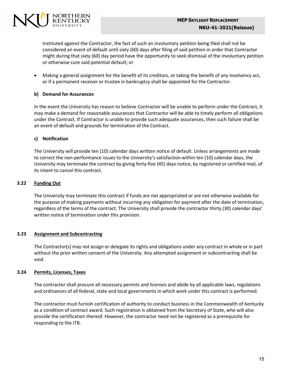

instituted against the Contractor, the fact of such an involuntary petition being filed shall not be considered an event of default until sixty (60) days after filing of said petition in order that Contractor might during that sixty (60) day period have the opportunity to seek dismissal of the involuntary petition or otherwise cure said potential default; or

• Making a general assignment for the benefit of its creditors, or taking the benefit of any insolvency act, or if a permanent receiver or trustee in bankruptcy shall be appointed for the Contractor.

# **b) Demand for Assurances**

In the event the University has reason to believe Contractor will be unable to perform under the Contract, it may make a demand for reasonable assurances that Contractor will be able to timely perform all obligations under the Contract. If Contractor is unable to provide such adequate assurances, then such failure shall be an event of default and grounds for termination of the Contract.

# **c) Notification**

The University will provide ten (10) calendar days written notice of default. Unless arrangements are made to correct the non-performance issues to the University's satisfaction within ten (10) calendar days, the University may terminate the contract by giving forty-five (45) days notice, by registered or certified mail, of its intent to cancel this contract.

# <span id="page-15-0"></span>**3.22 Funding Out**

The University may terminate this contract if funds are not appropriated or are not otherwise available for the purpose of making payments without incurring any obligation for payment after the date of termination, regardless of the terms of the contract. The University shall provide the contractor thirty (30) calendar days' written notice of termination under this provision.

# <span id="page-15-1"></span>**3.23 Assignment and Subcontracting**

The Contractor(s) may not assign or delegate its rights and obligations under any contract in whole or in part without the prior written consent of the University. Any attempted assignment or subcontracting shall be void.

# <span id="page-15-2"></span>**3.24 Permits, Licenses, Taxes**

The contractor shall procure all necessary permits and licenses and abide by all applicable laws, regulations and ordinances of all federal, state and local governments in which work under this contract is performed.

The contractor must furnish certification of authority to conduct business in the Commonwealth of Kentucky as a condition of contract award. Such registration is obtained from the Secretary of State, who will also provide the certification thereof. However, the contractor need not be registered as a prerequisite for responding to the ITB.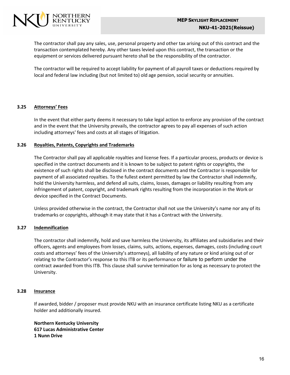

The contractor shall pay any sales, use, personal property and other tax arising out of this contract and the transaction contemplated hereby. Any other taxes levied upon this contract, the transaction or the equipment or services delivered pursuant hereto shall be the responsibility of the contractor.

The contractor will be required to accept liability for payment of all payroll taxes or deductions required by local and federal law including (but not limited to) old age pension, social security or annuities.

# <span id="page-16-0"></span>**3.25 Attorneys' Fees**

In the event that either party deems it necessary to take legal action to enforce any provision of the contract and in the event that the University prevails, the contractor agrees to pay all expenses of such action including attorneys' fees and costs at all stages of litigation.

#### <span id="page-16-1"></span>**3.26 Royalties, Patents, Copyrights and Trademarks**

The Contractor shall pay all applicable royalties and license fees. If a particular process, products or device is specified in the contract documents and it is known to be subject to patent rights or copyrights, the existence of such rights shall be disclosed in the contract documents and the Contractor is responsible for payment of all associated royalties. To the fullest extent permitted by law the Contractor shall indemnify, hold the University harmless, and defend all suits, claims, losses, damages or liability resulting from any infringement of patent, copyright, and trademark rights resulting from the incorporation in the Work or device specified in the Contract Documents.

Unless provided otherwise in the contract, the Contractor shall not use the University's name nor any of its trademarks or copyrights, although it may state that it has a Contract with the University.

# <span id="page-16-2"></span>**3.27 Indemnification**

The contractor shall indemnify, hold and save harmless the University, its affiliates and subsidiaries and their officers, agents and employees from losses, claims, suits, actions, expenses, damages, costs (including court costs and attorneys' fees of the University's attorneys), all liability of any nature or kind arising out of or relating to the Contractor's response to this ITB or its performance or failure to perform under the contract awarded from this ITB. This clause shall survive termination for as long as necessary to protect the University.

#### <span id="page-16-3"></span>**3.28 Insurance**

If awarded, bidder / proposer must provide NKU with an insurance certificate listing NKU as a certificate holder and additionally insured.

**Northern Kentucky University 617 Lucas Administrative Center 1 Nunn Drive**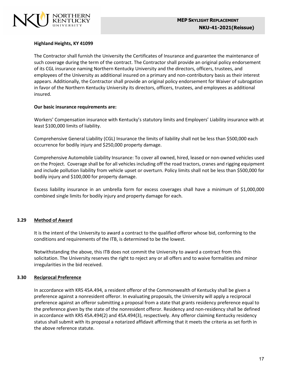

## **Highland Heights, KY 41099**

The Contractor shall furnish the University the Certificates of Insurance and guarantee the maintenance of such coverage during the term of the contract. The Contractor shall provide an original policy endorsement of its CGL insurance naming Northern Kentucky University and the directors, officers, trustees, and employees of the University as additional insured on a primary and non-contributory basis as their interest appears. Additionally, the Contractor shall provide an original policy endorsement for Waiver of subrogation in favor of the Northern Kentucky University its directors, officers, trustees, and employees as additional insured.

#### **Our basic insurance requirements are:**

Workers' Compensation insurance with Kentucky's statutory limits and Employers' Liability insurance with at least \$100,000 limits of liability.

Comprehensive General Liability (CGL) Insurance the limits of liability shall not be less than \$500,000 each occurrence for bodily injury and \$250,000 property damage.

Comprehensive Automobile Liability Insurance: To cover all owned, hired, leased or non-owned vehicles used on the Project. Coverage shall be for all vehicles including off the road tractors, cranes and rigging equipment and include pollution liability from vehicle upset or overturn. Policy limits shall not be less than \$500,000 for bodily injury and \$100,000 for property damage.

Excess liability insurance in an umbrella form for excess coverages shall have a minimum of \$1,000,000 combined single limits for bodily injury and property damage for each.

#### <span id="page-17-0"></span>**3.29 Method of Award**

It is the intent of the University to award a contract to the qualified offeror whose bid, conforming to the conditions and requirements of the ITB, is determined to be the lowest.

Notwithstanding the above, this ITB does not commit the University to award a contract from this solicitation. The University reserves the right to reject any or all offers and to waive formalities and minor irregularities in the bid received.

# <span id="page-17-1"></span>**3.30 Reciprocal Preference**

In accordance with KRS 45A.494, a resident offeror of the Commonwealth of Kentucky shall be given a preference against a nonresident offeror. In evaluating proposals, the University will apply a reciprocal preference against an offeror submitting a proposal from a state that grants residency preference equal to the preference given by the state of the nonresident offeror. Residency and non-residency shall be defined in accordance with KRS 45A.494(2) and 45A.494(3), respectively. Any offeror claiming Kentucky residency status shall submit with its proposal a notarized affidavit affirming that it meets the criteria as set forth in the above reference statute.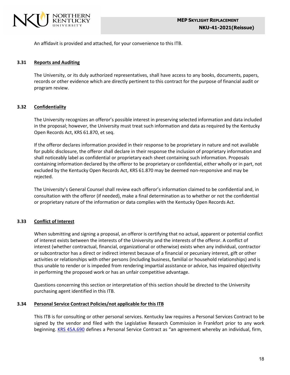

An affidavit is provided and attached, for your convenience to this ITB.

#### <span id="page-18-0"></span>**3.31 Reports and Auditing**

The University, or its duly authorized representatives, shall have access to any books, documents, papers, records or other evidence which are directly pertinent to this contract for the purpose of financial audit or program review.

# <span id="page-18-1"></span>**3.32 Confidentiality**

The University recognizes an offeror's possible interest in preserving selected information and data included in the proposal; however, the University must treat such information and data as required by the Kentucky Open Records Act, KRS 61.870, et seq.

If the offeror declares information provided in their response to be proprietary in nature and not available for public disclosure, the offeror shall declare in their response the inclusion of proprietary information and shall noticeably label as confidential or proprietary each sheet containing such information. Proposals containing information declared by the offeror to be proprietary or confidential, either wholly or in part, not excluded by the Kentucky Open Records Act, KRS 61.870 may be deemed non-responsive and may be rejected.

The University's General Counsel shall review each offeror's information claimed to be confidential and, in consultation with the offeror (if needed), make a final determination as to whether or not the confidential or proprietary nature of the information or data complies with the Kentucky Open Records Act.

# <span id="page-18-2"></span>**3.33 Conflict of Interest**

When submitting and signing a proposal, an offeror is certifying that no actual, apparent or potential conflict of interest exists between the interests of the University and the interests of the offeror. A conflict of interest (whether contractual, financial, organizational or otherwise) exists when any individual, contractor or subcontractor has a direct or indirect interest because of a financial or pecuniary interest, gift or other activities or relationships with other persons (including business, familial or household relationships) and is thus unable to render or is impeded from rendering impartial assistance or advice, has impaired objectivity in performing the proposed work or has an unfair competitive advantage.

Questions concerning this section or interpretation of this section should be directed to the University purchasing agent identified in this ITB.

#### <span id="page-18-3"></span>**3.34 Personal Service Contract Policies/not applicable for thisITB**

This ITB is for consulting or other personal services. Kentucky law requires a Personal Services Contract to be signed by the vendor and filed with the Legislative Research Commission in Frankfort prior to any work beginning. KRS [45A.690](http://lrc.ky.gov/KRS/045A00/690.PDF) defines a Personal Service Contract as "an agreement whereby an individual, firm,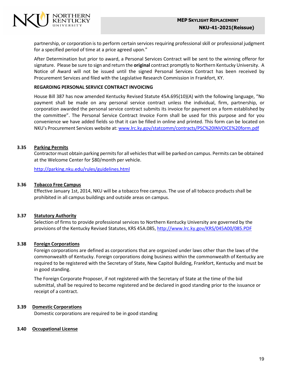

partnership, or corporation is to perform certain services requiring professional skill or professional judgment for a specified period of time at a price agreed upon."

After Determination but prior to award, a Personal Services Contract will be sent to the winning offeror for signature. Please be sure to sign and return the **original** contract promptly to Northern Kentucky University. A Notice of Award will not be issued until the signed Personal Services Contract has been received by Procurement Services and filed with the Legislative Research Commission in Frankfort, KY.

#### **REGARDING PERSONAL SERVICE CONTRACT INVOICING**

House Bill 387 has now amended Kentucky Revised Statute 45A.695(10)(A) with the following language, "No payment shall be made on any personal service contract unless the individual, firm, partnership, or corporation awarded the personal service contract submits its invoice for payment on a form established by the committee". The Personal Service Contract Invoice Form shall be used for this purpose and for you convenience we have added fields so that it can be filled in online and printed. This form can be located on NKU's Procurement Services website at: [www.lrc.ky.gov/statcomm/contracts/PSC%20INVOICE%20form.pdf](http://www.lrc.ky.gov/statcomm/contracts/PSC%20INVOICE%20form.pdf)

# **3.35 Parking Permits**

Contractor must obtain parking permits for all vehicles that will be parked on campus. Permits can be obtained at the Welcome Center for \$80/month per vehicle.

<http://parking.nku.edu/rules/guidelines.html>

#### **3.36 Tobacco Free Campus**

Effective January 1st, 2014, NKU will be a tobacco free campus. The use of all tobacco products shall be prohibited in all campus buildings and outside areas on campus.

# **3.37 Statutory Authority**

Selection of firms to provide professional services to Northern Kentucky University are governed by the provisions of the Kentucky Revised Statutes, KRS 45A.085, <http://www.lrc.ky.gov/KRS/045A00/085.PDF>

#### **3.38 Foreign Corporations**

Foreign corporations are defined as corporations that are organized under laws other than the laws of the commonwealth of Kentucky. Foreign corporations doing business within the commonwealth of Kentucky are required to be registered with the Secretary of State, New Capitol Building, Frankfort, Kentucky and must be in good standing.

The Foreign Corporate Proposer, if not registered with the Secretary of State at the time of the bid submittal, shall be required to become registered and be declared in good standing prior to the issuance or receipt of a contract.

#### **3.39 Domestic Corporations**

Domestic corporations are required to be in good standing

#### **3.40 Occupational License**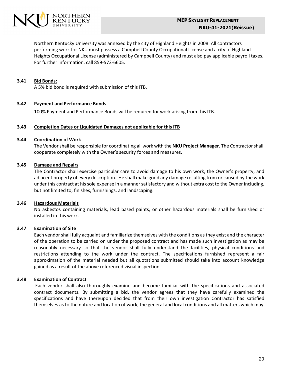

Northern Kentucky University was annexed by the city of Highland Heights in 2008. All contractors performing work for NKU must possess a Campbell County Occupational License and a city of Highland Heights Occupational License (administered by Campbell County) and must also pay applicable payroll taxes. For further information, call 859-572-6605.

## **3.41 Bid Bonds:**

A 5% bid bond is required with submission of this ITB.

#### **3.42 Payment and Performance Bonds**

100% Payment and Performance Bonds will be required for work arising from this ITB.

#### **3.43 Completion Dates or Liquidated Damages not applicable for this ITB**

#### **3.44 Coordination of Work**

The Vendorshall be responsible for coordinating all work with the **NKU Project Manager**. The Contractorshall cooperate completely with the Owner's security forces and measures.

#### **3.45 Damage and Repairs**

The Contractor shall exercise particular care to avoid damage to his own work, the Owner's property, and adjacent property of every description. He shall make good any damage resulting from or caused by the work under this contract at his sole expense in a manner satisfactory and without extra cost to the Owner including, but not limited to, finishes, furnishings, and landscaping.

#### **3.46 Hazardous Materials**

No asbestos containing materials, lead based paints, or other hazardous materials shall be furnished or installed in this work.

#### **3.47 Examination of Site**

Each vendorshall fully acquaint and familiarize themselves with the conditions asthey exist and the character of the operation to be carried on under the proposed contract and has made such investigation as may be reasonably necessary so that the vendor shall fully understand the facilities, physical conditions and restrictions attending to the work under the contract. The specifications furnished represent a fair approximation of the material needed but all quotations submitted should take into account knowledge gained as a result of the above referenced visual inspection.

# **3.48 Examination of Contract**

Each vendor shall also thoroughly examine and become familiar with the specifications and associated contract documents. By submitting a bid, the vendor agrees that they have carefully examined the specifications and have thereupon decided that from their own investigation Contractor has satisfied themselves as to the nature and location of work, the general and local conditions and all matters which may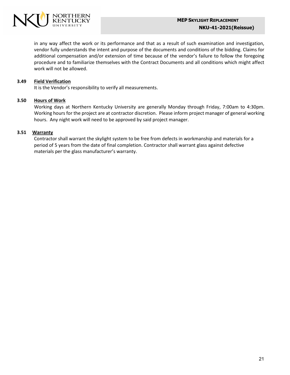

<span id="page-21-0"></span>in any way affect the work or its performance and that as a result of such examination and investigation, vendor fully understands the intent and purpose of the documents and conditions of the bidding. Claims for additional compensation and/or extension of time because of the vendor's failure to follow the foregoing procedure and to familiarize themselves with the Contract Documents and all conditions which might affect work will not be allowed.

## **3.49 Field Verification**

It is the Vendor's responsibility to verify all measurements.

#### **3.50 Hours of Work**

Working days at Northern Kentucky University are generally Monday through Friday, 7:00am to 4:30pm. Working hours for the project are at contractor discretion. Please inform project manager of general working hours. Any night work will need to be approved by said project manager.

#### **3.51 Warranty**

Contractor shall warrant the skylight system to be free from defects in workmanship and materials for a period of 5 years from the date of final completion. Contractor shall warrant glass against defective materials per the glass manufacturer's warranty.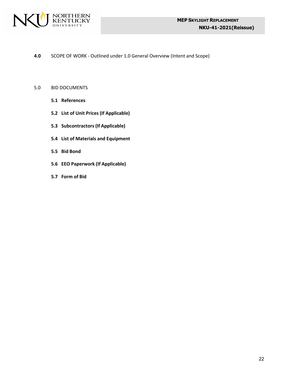

**4.0** SCOPE OF WORK - Outlined under 1.0 General Overview (Intent and Scope)

#### <span id="page-22-0"></span>5.0 BID DOCUMENTS

- **5.1 References**
- **5.2 List of Unit Prices (If Applicable)**
- **5.3 Subcontractors (If Applicable)**
- **5.4 List of Materials and Equipment**
- **5.5 Bid Bond**
- **5.6 EEO Paperwork (If Applicable)**
- **5.7 Form of Bid**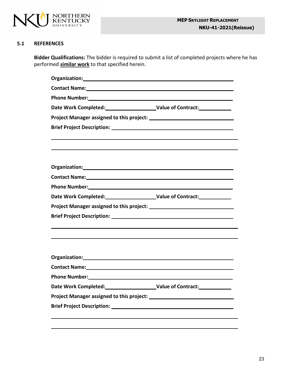

# **5.1 REFERENCES**

**Bidder Qualifications:** The bidder is required to submit a list of completed projects where he has performed **similar work** to that specified herein.

| Contact Name: Name and Second Contact Name and Second Contact Name and Second Contact Name and Second Contact N<br><u> 1989 - Johann Harry Harry Harry Harry Harry Harry Harry Harry Harry Harry Harry Harry Harry Harry Harry Harry</u><br>Contact Name: Name and Second Contact Name and Second Contact Name and Second Contact Name and Second Contact N |
|-------------------------------------------------------------------------------------------------------------------------------------------------------------------------------------------------------------------------------------------------------------------------------------------------------------------------------------------------------------|
|                                                                                                                                                                                                                                                                                                                                                             |
|                                                                                                                                                                                                                                                                                                                                                             |
|                                                                                                                                                                                                                                                                                                                                                             |
|                                                                                                                                                                                                                                                                                                                                                             |
|                                                                                                                                                                                                                                                                                                                                                             |
|                                                                                                                                                                                                                                                                                                                                                             |
|                                                                                                                                                                                                                                                                                                                                                             |
|                                                                                                                                                                                                                                                                                                                                                             |
|                                                                                                                                                                                                                                                                                                                                                             |
|                                                                                                                                                                                                                                                                                                                                                             |
|                                                                                                                                                                                                                                                                                                                                                             |
|                                                                                                                                                                                                                                                                                                                                                             |
|                                                                                                                                                                                                                                                                                                                                                             |
|                                                                                                                                                                                                                                                                                                                                                             |
|                                                                                                                                                                                                                                                                                                                                                             |
|                                                                                                                                                                                                                                                                                                                                                             |
| Contact Name: 1988 and 2008 and 2008 and 2008 and 2008 and 2008 and 2008 and 2008 and 2008 and 2008 and 2008 and 2008 and 2008 and 2008 and 2008 and 2008 and 2008 and 2008 and 2008 and 2008 and 2008 and 2008 and 2008 and 2                                                                                                                              |
|                                                                                                                                                                                                                                                                                                                                                             |
| <b>Value of Contract:</b>                                                                                                                                                                                                                                                                                                                                   |
|                                                                                                                                                                                                                                                                                                                                                             |
|                                                                                                                                                                                                                                                                                                                                                             |
|                                                                                                                                                                                                                                                                                                                                                             |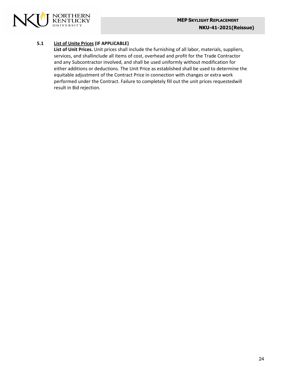

# **5.1 List of Unite Prices (IF APPLICABLE)**

**List of Unit Prices.** Unit prices shall include the furnishing of all labor, materials, suppliers, services, and shallinclude all items of cost, overhead and profit for the Trade Contractor and any Subcontractor involved, and shall be used uniformly without modification for either additions or deductions. The Unit Price as established shall be used to determine the equitable adjustment of the Contract Price in connection with changes or extra work performed under the Contract. Failure to completely fill out the unit prices requestedwill result in Bid rejection.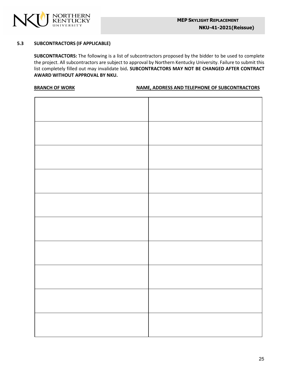

## **5.3 SUBCONTRACTORS (IF APPLICABLE)**

**SUBCONTRACTORS:** The following is a list of subcontractors proposed by the bidder to be used to complete the project. All subcontractors are subject to approval by Northern Kentucky University. Failure to submit this list completely filled out may invalidate bid**. SUBCONTRACTORS MAY NOT BE CHANGED AFTER CONTRACT AWARD WITHOUT APPROVAL BY NKU.**

#### **BRANCH OF WORK NAME, ADDRESS AND TELEPHONE OF SUBCONTRACTORS**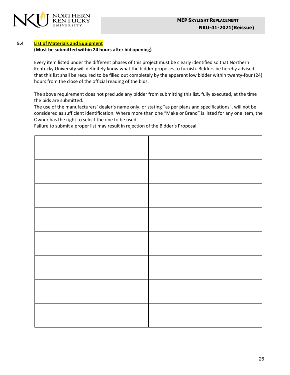



## **5.4 List of Materials and Equipment**

#### **(Must be submitted within 24 hours after bid opening)**

Every item listed under the different phases of this project must be clearly identified so that Northern Kentucky University will definitely know what the bidder proposes to furnish. Bidders be hereby advised that this list shall be required to be filled out completely by the apparent low bidder within twenty-four (24) hours from the close of the official reading of the bids.

The above requirement does not preclude any bidder from submitting this list, fully executed, at the time the bids are submitted.

The use of the manufacturers' dealer's name only, or stating "as per plans and specifications", will not be considered as sufficient identification. Where more than one "Make or Brand" is listed for any one item, the Owner has the right to select the one to be used.

Failure to submit a proper list may result in rejection of the Bidder's Proposal.

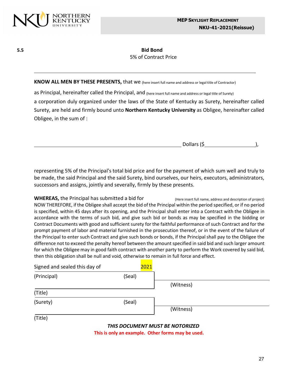

# **5.5 Bid Bond** 5% of Contract Price

**KNOW ALL MEN BY THESE PRESENTS,** that we (here insert full name and address or legal title of Contractor)

as Principal, hereinafter called the Principal, and (here insert full name and address or legal title of Surety) a corporation duly organized under the laws of the State of Kentucky as Surety, hereinafter called Surety, are held and firmly bound unto **Northern Kentucky University** as Obligee, hereinafter called Obligee, in the sum of :

| Dollars (\$ |  |
|-------------|--|
|             |  |

representing 5% of the Principal's total bid price and for the payment of which sum well and truly to be made, the said Principal and the said Surety, bind ourselves, our heirs, executors, administrators, successors and assigns, jointly and severally, firmly by these presents.

WHEREAS, the Principal has submitted a bid for (Here insert full name, address and description of project) NOW THEREFORE, if the Obligee shall accept the bid ofthe Principal within the period specified, or if no period is specified, within 45 days after its opening, and the Principal shall enter into a Contract with the Obligee in accordance with the terms of such bid, and give such bid or bonds as may be specified in the bidding or Contract Documents with good and sufficient surety for the faithful performance of such Contract and for the prompt payment of labor and material furnished in the prosecution thereof, or in the event of the failure of the Principal to enter such Contract and give such bonds or bonds, if the Principal shall pay to the Obligee the difference not to exceed the penalty hereof between the amount specified in said bid and such larger amount for which the Obligee may in good faith contract with another party to perform the Work covered by said bid, then this obligation shall be null and void, otherwise to remain in full force and effect.

| Signed and sealed this day of | 2021                            |           |
|-------------------------------|---------------------------------|-----------|
| (Principal)                   | (Seal)                          |           |
|                               |                                 | (Witness) |
| (Title)                       |                                 |           |
| (Surety)                      | (Seal)                          |           |
|                               |                                 | (Witness) |
| (Title)                       |                                 |           |
|                               | THIS DOCUMENT MUST BE NOTORIZED |           |

**Thisis only an example. Other forms may be used.**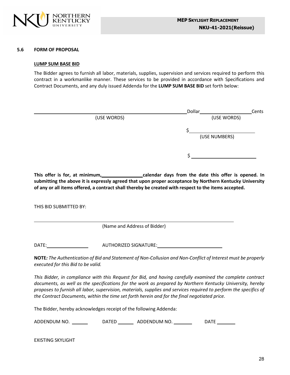

#### **5.6 FORM OF PROPOSAL**

#### **LUMP SUM BASE BID**

The Bidder agrees to furnish all labor, materials, supplies, supervision and services required to perform this contract in a workmanlike manner. These services to be provided in accordance with Specifications and Contract Documents, and any duly issued Addenda for the **LUMP SUM BASE BID** set forth below:

|             | Dollar        | Cents |
|-------------|---------------|-------|
| (USE WORDS) | (USE WORDS)   |       |
|             |               |       |
|             | (USE NUMBERS) |       |
|             |               |       |
|             |               |       |

**This offer is for, at minimum, calendar days from the date this offer is opened. In submitting the above it is expressly agreed that upon proper acceptance by Northern Kentucky University of any or all items offered, a contract shall thereby be created with respect to the items accepted.**

THIS BID SUBMITTED BY:

(Name and Address of Bidder)

DATE: AUTHORIZED SIGNATURE:

**NOTE***: The Authentication of Bid and Statement of Non-Collusion and Non-Conflict of Interest must be properly executed for this Bid to be valid.*

*This Bidder, in compliance with this Request for Bid, and having carefully examined the complete contract documents, as well as the specifications for the work as prepared by Northern Kentucky University, hereby proposes to furnish all labor, supervision, materials, supplies and services required to perform the specifics of the Contract Documents, within the time set forth herein and for the final negotiated price.*

The Bidder, hereby acknowledges receipt of the following Addenda:

ADDENDUM NO. \_\_\_\_\_\_\_\_\_\_\_\_\_DATED \_\_\_\_\_\_\_\_\_\_\_ADDENDUM NO. \_\_\_\_\_\_\_\_\_\_\_\_\_DATE \_\_\_\_\_\_\_

EXISTING SKYLIGHT